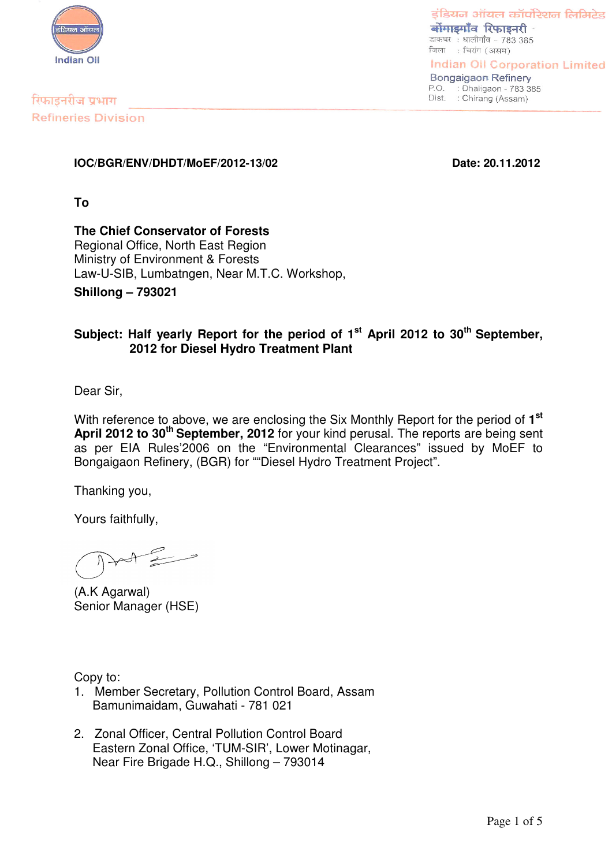

रिफाइनरीज प्रभाग **Refineries Division** 

डंडियन ऑयल कॉर्पोरेशन लिमिटेड बोंगाडगाँव रिफाइनरी डाकघर : धालीगाँव - 783 385 जिला : चिरांग (असम)

**Indian Oil Corporation Limited Bongaigaon Refinery** P.O. : Dhaligaon - 783 385<br>Dist. : Chirang (Assam)

**IOC/BGR/ENV/DHDT/MoEF/2012-13/02 Date: 20.11.2012**

**To**

**The Chief Conservator of Forests** Regional Office, North East Region Ministry of Environment & Forests Law-U-SIB, Lumbatngen, Near M.T.C. Workshop,

**Shillong – 793021**

## **Subject: Half yearly Report for the period of 1 st April 2012 to 30 th September, 2012 for Diesel Hydro Treatment Plant**

Dear Sir,

With reference to above, we are enclosing the Six Monthly Report for the period of **1 st April 2012 to 30 th September, 2012** for your kind perusal. The reports are being sent as per EIA Rules'2006 on the "Environmental Clearances" issued by MoEF to Bongaigaon Refinery, (BGR) for ""Diesel Hydro Treatment Project".

Thanking you,

Yours faithfully,

(A.K Agarwal) Senior Manager (HSE)

Copy to:

- 1. Member Secretary, Pollution Control Board, Assam Bamunimaidam, Guwahati - 781 021
- 2. Zonal Officer, Central Pollution Control Board Eastern Zonal Office, 'TUM-SIR', Lower Motinagar, Near Fire Brigade H.Q., Shillong – 793014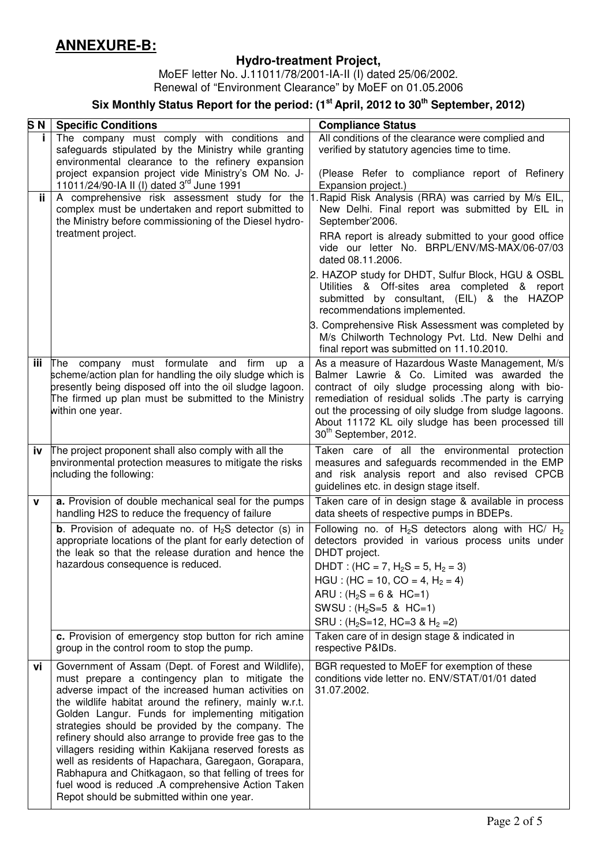# **ANNEXURE-B:**

## **Hydro-treatment Project,**

MoEF letter No. J.11011/78/2001-IA-II (I) dated 25/06/2002. Renewal of "Environment Clearance" by MoEF on 01.05.2006

### **Six Monthly Status Report for the period: (1 st April, 2012 to 30 th September, 2012)**

| S <sub>N</sub> | <b>Specific Conditions</b>                                                                                                                                                                                                                                                                                                                                                                                                                                                                                                                                                                                                                                                  | <b>Compliance Status</b>                                                                                                                                                                                                                                                                                                                                           |  |  |
|----------------|-----------------------------------------------------------------------------------------------------------------------------------------------------------------------------------------------------------------------------------------------------------------------------------------------------------------------------------------------------------------------------------------------------------------------------------------------------------------------------------------------------------------------------------------------------------------------------------------------------------------------------------------------------------------------------|--------------------------------------------------------------------------------------------------------------------------------------------------------------------------------------------------------------------------------------------------------------------------------------------------------------------------------------------------------------------|--|--|
| Ť.             | The company must comply with conditions and                                                                                                                                                                                                                                                                                                                                                                                                                                                                                                                                                                                                                                 | All conditions of the clearance were complied and                                                                                                                                                                                                                                                                                                                  |  |  |
|                | safeguards stipulated by the Ministry while granting<br>environmental clearance to the refinery expansion                                                                                                                                                                                                                                                                                                                                                                                                                                                                                                                                                                   | verified by statutory agencies time to time.                                                                                                                                                                                                                                                                                                                       |  |  |
|                | project expansion project vide Ministry's OM No. J-                                                                                                                                                                                                                                                                                                                                                                                                                                                                                                                                                                                                                         | (Please Refer to compliance report of Refinery                                                                                                                                                                                                                                                                                                                     |  |  |
|                | 11011/24/90-IA II (I) dated 3rd June 1991                                                                                                                                                                                                                                                                                                                                                                                                                                                                                                                                                                                                                                   | Expansion project.)                                                                                                                                                                                                                                                                                                                                                |  |  |
| ii.            | A comprehensive risk assessment study for the                                                                                                                                                                                                                                                                                                                                                                                                                                                                                                                                                                                                                               | Rapid Risk Analysis (RRA) was carried by M/s EIL,                                                                                                                                                                                                                                                                                                                  |  |  |
|                | complex must be undertaken and report submitted to<br>the Ministry before commissioning of the Diesel hydro-                                                                                                                                                                                                                                                                                                                                                                                                                                                                                                                                                                | New Delhi. Final report was submitted by EIL in<br>September'2006.                                                                                                                                                                                                                                                                                                 |  |  |
|                | treatment project.                                                                                                                                                                                                                                                                                                                                                                                                                                                                                                                                                                                                                                                          | RRA report is already submitted to your good office<br>vide our letter No. BRPL/ENV/MS-MAX/06-07/03<br>dated 08.11.2006.                                                                                                                                                                                                                                           |  |  |
|                |                                                                                                                                                                                                                                                                                                                                                                                                                                                                                                                                                                                                                                                                             | 2. HAZOP study for DHDT, Sulfur Block, HGU & OSBL<br>Utilities & Off-sites area completed & report<br>submitted by consultant, (EIL) & the HAZOP<br>recommendations implemented.                                                                                                                                                                                   |  |  |
|                |                                                                                                                                                                                                                                                                                                                                                                                                                                                                                                                                                                                                                                                                             | 3. Comprehensive Risk Assessment was completed by<br>M/s Chilworth Technology Pvt. Ltd. New Delhi and<br>final report was submitted on 11.10.2010.                                                                                                                                                                                                                 |  |  |
| iii            | The company must formulate<br>and<br>firm<br><b>up</b><br>a<br>scheme/action plan for handling the oily sludge which is<br>presently being disposed off into the oil sludge lagoon.<br>The firmed up plan must be submitted to the Ministry<br>within one year.                                                                                                                                                                                                                                                                                                                                                                                                             | As a measure of Hazardous Waste Management, M/s<br>Balmer Lawrie & Co. Limited was awarded the<br>contract of oily sludge processing along with bio-<br>remediation of residual solids .The party is carrying<br>out the processing of oily sludge from sludge lagoons.<br>About 11172 KL oily sludge has been processed till<br>30 <sup>th</sup> September, 2012. |  |  |
| iv             | The project proponent shall also comply with all the<br>environmental protection measures to mitigate the risks<br>including the following:                                                                                                                                                                                                                                                                                                                                                                                                                                                                                                                                 | Taken care of all the environmental protection<br>measures and safeguards recommended in the EMP<br>and risk analysis report and also revised CPCB<br>guidelines etc. in design stage itself.                                                                                                                                                                      |  |  |
| $\mathbf v$    | a. Provision of double mechanical seal for the pumps<br>handling H2S to reduce the frequency of failure                                                                                                                                                                                                                                                                                                                                                                                                                                                                                                                                                                     | Taken care of in design stage & available in process<br>data sheets of respective pumps in BDEPs.                                                                                                                                                                                                                                                                  |  |  |
|                | <b>b</b> . Provision of adequate no. of $H_2S$ detector (s) in<br>appropriate locations of the plant for early detection of<br>the leak so that the release duration and hence the<br>hazardous consequence is reduced.                                                                                                                                                                                                                                                                                                                                                                                                                                                     | Following no. of $H_2S$ detectors along with HC/ $H_2$<br>detectors provided in various process units under<br>DHDT project.<br>DHDT: $(HC = 7, H2S = 5, H2 = 3)$<br>$HGU$ : (HC = 10, CO = 4, H <sub>2</sub> = 4)<br>ARU : $(H_2S = 6 \& HC = 1)$<br>SWSU: $(H_2S=5 \& HC=1)$<br>SRU : $(H_2S=12, HC=3 & H_2=2)$                                                  |  |  |
|                | c. Provision of emergency stop button for rich amine<br>group in the control room to stop the pump.                                                                                                                                                                                                                                                                                                                                                                                                                                                                                                                                                                         | Taken care of in design stage & indicated in<br>respective P&IDs.                                                                                                                                                                                                                                                                                                  |  |  |
| vi             | Government of Assam (Dept. of Forest and Wildlife),<br>must prepare a contingency plan to mitigate the<br>adverse impact of the increased human activities on<br>the wildlife habitat around the refinery, mainly w.r.t.<br>Golden Langur. Funds for implementing mitigation<br>strategies should be provided by the company. The<br>refinery should also arrange to provide free gas to the<br>villagers residing within Kakijana reserved forests as<br>well as residents of Hapachara, Garegaon, Gorapara,<br>Rabhapura and Chitkagaon, so that felling of trees for<br>fuel wood is reduced .A comprehensive Action Taken<br>Repot should be submitted within one year. | BGR requested to MoEF for exemption of these<br>conditions vide letter no. ENV/STAT/01/01 dated<br>31.07.2002.                                                                                                                                                                                                                                                     |  |  |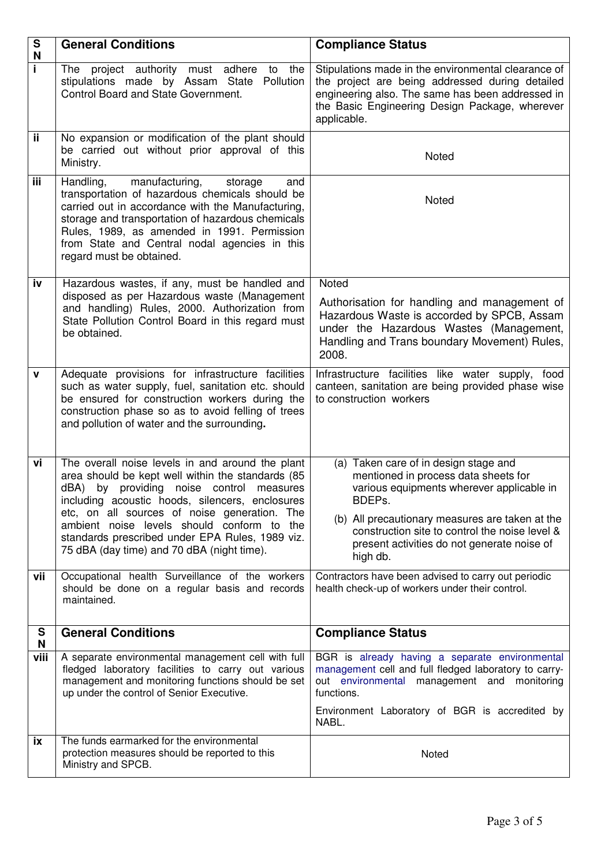| ${\mathsf S}$<br>N | <b>General Conditions</b>                                                                                                                                                                                                                                                                                                                                                                           | <b>Compliance Status</b>                                                                                                                                                                                                                                                                             |  |
|--------------------|-----------------------------------------------------------------------------------------------------------------------------------------------------------------------------------------------------------------------------------------------------------------------------------------------------------------------------------------------------------------------------------------------------|------------------------------------------------------------------------------------------------------------------------------------------------------------------------------------------------------------------------------------------------------------------------------------------------------|--|
| i.                 | project authority must adhere to<br>the<br>The<br>stipulations made by Assam State<br>Pollution<br>Control Board and State Government.                                                                                                                                                                                                                                                              | Stipulations made in the environmental clearance of<br>the project are being addressed during detailed<br>engineering also. The same has been addressed in<br>the Basic Engineering Design Package, wherever<br>applicable.                                                                          |  |
| ii.                | No expansion or modification of the plant should<br>be carried out without prior approval of this<br>Ministry.                                                                                                                                                                                                                                                                                      | Noted                                                                                                                                                                                                                                                                                                |  |
| iii                | Handling,<br>manufacturing,<br>storage<br>and<br>transportation of hazardous chemicals should be<br>carried out in accordance with the Manufacturing,<br>storage and transportation of hazardous chemicals<br>Rules, 1989, as amended in 1991. Permission<br>from State and Central nodal agencies in this<br>regard must be obtained.                                                              | Noted                                                                                                                                                                                                                                                                                                |  |
| iv                 | Hazardous wastes, if any, must be handled and<br>disposed as per Hazardous waste (Management<br>and handling) Rules, 2000. Authorization from<br>State Pollution Control Board in this regard must<br>be obtained.                                                                                                                                                                                  | Noted<br>Authorisation for handling and management of<br>Hazardous Waste is accorded by SPCB, Assam<br>under the Hazardous Wastes (Management,<br>Handling and Trans boundary Movement) Rules,<br>2008.                                                                                              |  |
| v                  | Adequate provisions for infrastructure facilities<br>such as water supply, fuel, sanitation etc. should<br>be ensured for construction workers during the<br>construction phase so as to avoid felling of trees<br>and pollution of water and the surrounding.                                                                                                                                      | Infrastructure facilities like water supply, food<br>canteen, sanitation are being provided phase wise<br>to construction workers                                                                                                                                                                    |  |
| vi                 | The overall noise levels in and around the plant<br>area should be kept well within the standards (85<br>dBA) by providing noise control measures<br>including acoustic hoods, silencers, enclosures<br>etc, on all sources of noise generation. The<br>ambient noise levels should conform to the<br>standards prescribed under EPA Rules, 1989 viz.<br>75 dBA (day time) and 70 dBA (night time). | (a) Taken care of in design stage and<br>mentioned in process data sheets for<br>various equipments wherever applicable in<br>BDEPS.<br>(b) All precautionary measures are taken at the<br>construction site to control the noise level &<br>present activities do not generate noise of<br>high db. |  |
| vii                | Occupational health Surveillance of the workers<br>should be done on a regular basis and records<br>maintained.                                                                                                                                                                                                                                                                                     | Contractors have been advised to carry out periodic<br>health check-up of workers under their control.                                                                                                                                                                                               |  |
| S<br>N             | <b>General Conditions</b>                                                                                                                                                                                                                                                                                                                                                                           | <b>Compliance Status</b>                                                                                                                                                                                                                                                                             |  |
| viii               | A separate environmental management cell with full<br>fledged laboratory facilities to carry out various<br>management and monitoring functions should be set<br>up under the control of Senior Executive.                                                                                                                                                                                          | BGR is already having a separate environmental<br>management cell and full fledged laboratory to carry-<br>out environmental management and monitoring<br>functions.<br>Environment Laboratory of BGR is accredited by<br>NABL.                                                                      |  |
| ix                 | The funds earmarked for the environmental<br>protection measures should be reported to this<br>Ministry and SPCB.                                                                                                                                                                                                                                                                                   | Noted                                                                                                                                                                                                                                                                                                |  |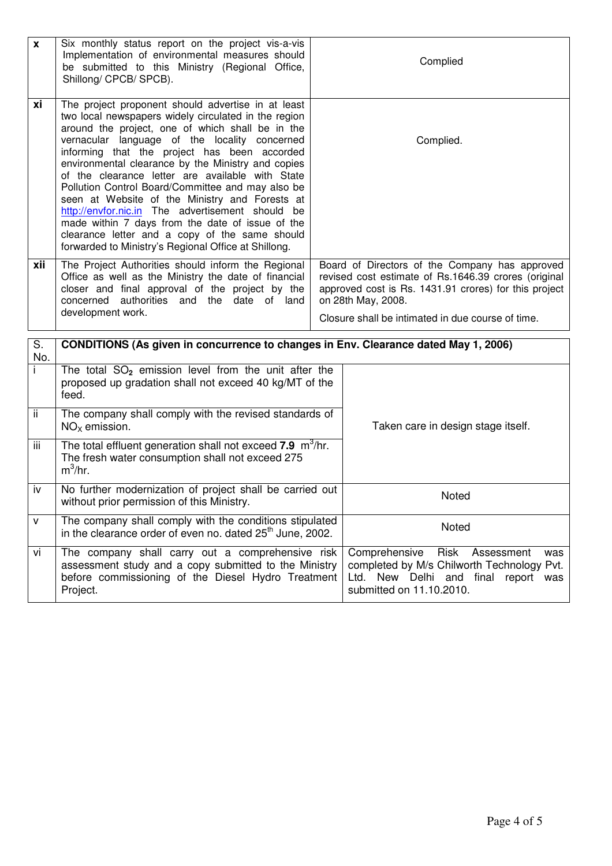| $\mathbf{x}$ | Six monthly status report on the project vis-a-vis<br>Implementation of environmental measures should<br>be submitted to this Ministry (Regional Office,<br>Shillong/ CPCB/ SPCB).                                                                                                                                                                                                                                                                                                                                                                                                                                                                                                                 |  | Complied                                                                                                                                                                                                                                   |  |  |
|--------------|----------------------------------------------------------------------------------------------------------------------------------------------------------------------------------------------------------------------------------------------------------------------------------------------------------------------------------------------------------------------------------------------------------------------------------------------------------------------------------------------------------------------------------------------------------------------------------------------------------------------------------------------------------------------------------------------------|--|--------------------------------------------------------------------------------------------------------------------------------------------------------------------------------------------------------------------------------------------|--|--|
| xi           | The project proponent should advertise in at least<br>two local newspapers widely circulated in the region<br>around the project, one of which shall be in the<br>vernacular language of the locality concerned<br>informing that the project has been accorded<br>environmental clearance by the Ministry and copies<br>of the clearance letter are available with State<br>Pollution Control Board/Committee and may also be<br>seen at Website of the Ministry and Forests at<br>http://envfor.nic.in The advertisement should be<br>made within 7 days from the date of issue of the<br>clearance letter and a copy of the same should<br>forwarded to Ministry's Regional Office at Shillong. |  | Complied.                                                                                                                                                                                                                                  |  |  |
| xii          | The Project Authorities should inform the Regional<br>Office as well as the Ministry the date of financial<br>closer and final approval of the project by the<br>concerned authorities and the date of land<br>development work.                                                                                                                                                                                                                                                                                                                                                                                                                                                                   |  | Board of Directors of the Company has approved<br>revised cost estimate of Rs.1646.39 crores (original<br>approved cost is Rs. 1431.91 crores) for this project<br>on 28th May, 2008.<br>Closure shall be intimated in due course of time. |  |  |
| S.<br>No.    | CONDITIONS (As given in concurrence to changes in Env. Clearance dated May 1, 2006)                                                                                                                                                                                                                                                                                                                                                                                                                                                                                                                                                                                                                |  |                                                                                                                                                                                                                                            |  |  |
| ī            | The total $SO_2$ emission level from the unit after the<br>proposed up gradation shall not exceed 40 kg/MT of the<br>feed.                                                                                                                                                                                                                                                                                                                                                                                                                                                                                                                                                                         |  |                                                                                                                                                                                                                                            |  |  |
| ii.          | The company shall comply with the revised standards of<br>$NOx$ emission.                                                                                                                                                                                                                                                                                                                                                                                                                                                                                                                                                                                                                          |  | Taken care in design stage itself.                                                                                                                                                                                                         |  |  |
| iii          | The total effluent generation shall not exceed 7.9 m <sup>3</sup> /hr.<br>The fresh water consumption shall not exceed 275<br>$m^3/hr$ .                                                                                                                                                                                                                                                                                                                                                                                                                                                                                                                                                           |  |                                                                                                                                                                                                                                            |  |  |
| iv           | No further modernization of project shall be carried out<br>without prior permission of this Ministry.                                                                                                                                                                                                                                                                                                                                                                                                                                                                                                                                                                                             |  | Noted                                                                                                                                                                                                                                      |  |  |
| v            | The company shall comply with the conditions stipulated<br>in the clearance order of even no. dated 25 <sup>th</sup> June, 2002.                                                                                                                                                                                                                                                                                                                                                                                                                                                                                                                                                                   |  | Noted                                                                                                                                                                                                                                      |  |  |
| vi           | The company shall carry out a comprehensive risk<br>assessment study and a copy submitted to the Ministry<br>before commissioning of the Diesel Hydro Treatment<br>Project.                                                                                                                                                                                                                                                                                                                                                                                                                                                                                                                        |  | Risk<br>Comprehensive<br>Assessment<br>was<br>completed by M/s Chilworth Technology Pvt.<br>Ltd. New Delhi and final report was<br>submitted on 11.10.2010.                                                                                |  |  |